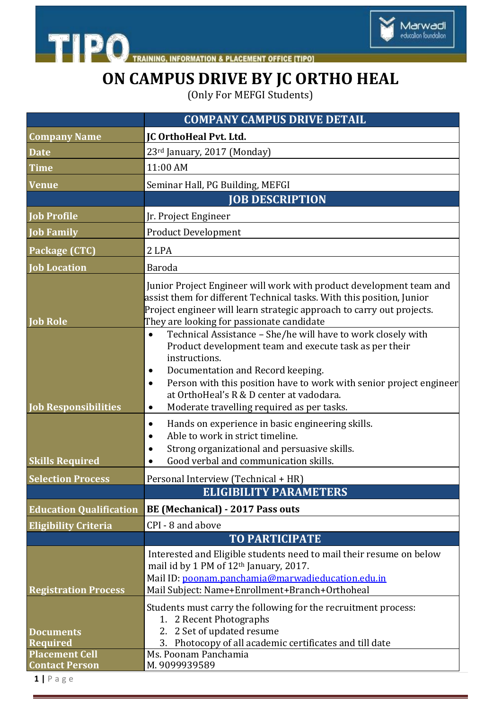

THE PO TRAINING, INFORMATION & PLACEMENT OFFICE [TIPO]

## **ON CAMPUS DRIVE BY JC ORTHO HEAL**

(Only For MEFGI Students)

|                                                | <b>COMPANY CAMPUS DRIVE DETAIL</b>                                                                                                                                                                                                                                                                                                                                                                                                                                                                                                                                                                                                                                      |
|------------------------------------------------|-------------------------------------------------------------------------------------------------------------------------------------------------------------------------------------------------------------------------------------------------------------------------------------------------------------------------------------------------------------------------------------------------------------------------------------------------------------------------------------------------------------------------------------------------------------------------------------------------------------------------------------------------------------------------|
| <b>Company Name</b>                            | <b>JC OrthoHeal Pvt. Ltd.</b>                                                                                                                                                                                                                                                                                                                                                                                                                                                                                                                                                                                                                                           |
| <b>Date</b>                                    | 23rd January, 2017 (Monday)                                                                                                                                                                                                                                                                                                                                                                                                                                                                                                                                                                                                                                             |
| <b>Time</b>                                    | 11:00 AM                                                                                                                                                                                                                                                                                                                                                                                                                                                                                                                                                                                                                                                                |
| <b>Venue</b>                                   | Seminar Hall, PG Building, MEFGI                                                                                                                                                                                                                                                                                                                                                                                                                                                                                                                                                                                                                                        |
|                                                | <b>JOB DESCRIPTION</b>                                                                                                                                                                                                                                                                                                                                                                                                                                                                                                                                                                                                                                                  |
| <b>Job Profile</b>                             | Jr. Project Engineer                                                                                                                                                                                                                                                                                                                                                                                                                                                                                                                                                                                                                                                    |
| <b>Job Family</b>                              | <b>Product Development</b>                                                                                                                                                                                                                                                                                                                                                                                                                                                                                                                                                                                                                                              |
| Package (CTC)                                  | 2 LPA                                                                                                                                                                                                                                                                                                                                                                                                                                                                                                                                                                                                                                                                   |
| <b>Job Location</b>                            | <b>Baroda</b>                                                                                                                                                                                                                                                                                                                                                                                                                                                                                                                                                                                                                                                           |
| <b>Job Role</b><br><b>Job Responsibilities</b> | Junior Project Engineer will work with product development team and<br>assist them for different Technical tasks. With this position, Junior<br>Project engineer will learn strategic approach to carry out projects.<br>They are looking for passionate candidate<br>Technical Assistance - She/he will have to work closely with<br>$\bullet$<br>Product development team and execute task as per their<br>instructions.<br>Documentation and Record keeping.<br>$\bullet$<br>Person with this position have to work with senior project engineer<br>$\bullet$<br>at OrthoHeal's R & D center at vadodara.<br>Moderate travelling required as per tasks.<br>$\bullet$ |
| <b>Skills Required</b>                         | Hands on experience in basic engineering skills.<br>$\bullet$<br>Able to work in strict timeline.<br>$\bullet$<br>Strong organizational and persuasive skills.<br>Good verbal and communication skills.                                                                                                                                                                                                                                                                                                                                                                                                                                                                 |
| <b>Selection Process</b>                       | Personal Interview (Technical + HR)                                                                                                                                                                                                                                                                                                                                                                                                                                                                                                                                                                                                                                     |
|                                                | <b>ELIGIBILITY PARAMETERS</b>                                                                                                                                                                                                                                                                                                                                                                                                                                                                                                                                                                                                                                           |
| <b>Education Qualification</b>                 | <b>BE (Mechanical) - 2017 Pass outs</b>                                                                                                                                                                                                                                                                                                                                                                                                                                                                                                                                                                                                                                 |
| <b>Eligibility Criteria</b>                    | CPI - 8 and above                                                                                                                                                                                                                                                                                                                                                                                                                                                                                                                                                                                                                                                       |
|                                                | <b>TO PARTICIPATE</b>                                                                                                                                                                                                                                                                                                                                                                                                                                                                                                                                                                                                                                                   |
| <b>Registration Process</b>                    | Interested and Eligible students need to mail their resume on below<br>mail id by 1 PM of 12th January, 2017.<br>Mail ID: poonam.panchamia@marwadieducation.edu.in<br>Mail Subject: Name+Enrollment+Branch+Orthoheal                                                                                                                                                                                                                                                                                                                                                                                                                                                    |
| <b>Documents</b><br><b>Required</b>            | Students must carry the following for the recruitment process:<br>1. 2 Recent Photographs<br>2. 2 Set of updated resume<br>Photocopy of all academic certificates and till date<br>3.                                                                                                                                                                                                                                                                                                                                                                                                                                                                                   |
| <b>Placement Cell</b><br><b>Contact Person</b> | Ms. Poonam Panchamia<br>M.9099939589                                                                                                                                                                                                                                                                                                                                                                                                                                                                                                                                                                                                                                    |